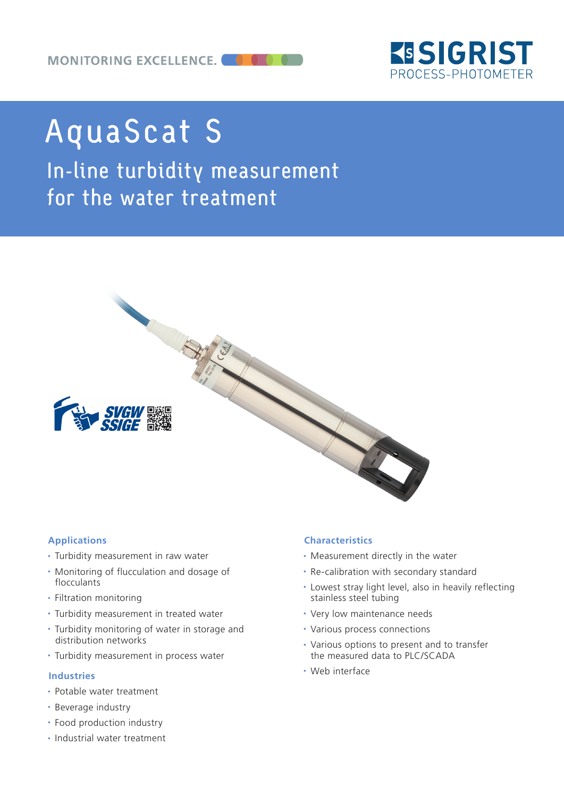

# AquaScat S

In-line turbidity measurement for the water treatment



# **Applications**

- Turbidity measurement in raw water
- Monitoring of flucculation and dosage of flocculants
- Filtration monitoring
- Turbidity measurement in treated water
- Turbidity monitoring of water in storage and distribution networks
- Turbidity measurement in process water

# **Industries**

- Potable water treatment
- Beverage industry
- Food production industry
- Industrial water treatment

# **Characteristics**

- Measurement directly in the water
- Re-calibration with secondary standard
- Lowest stray light level, also in heavily reflecting stainless steel tubing
- Very low maintenance needs
- Various process connections
- Various options to present and to transfer the measured data to PLC/SCADA
- Web interface